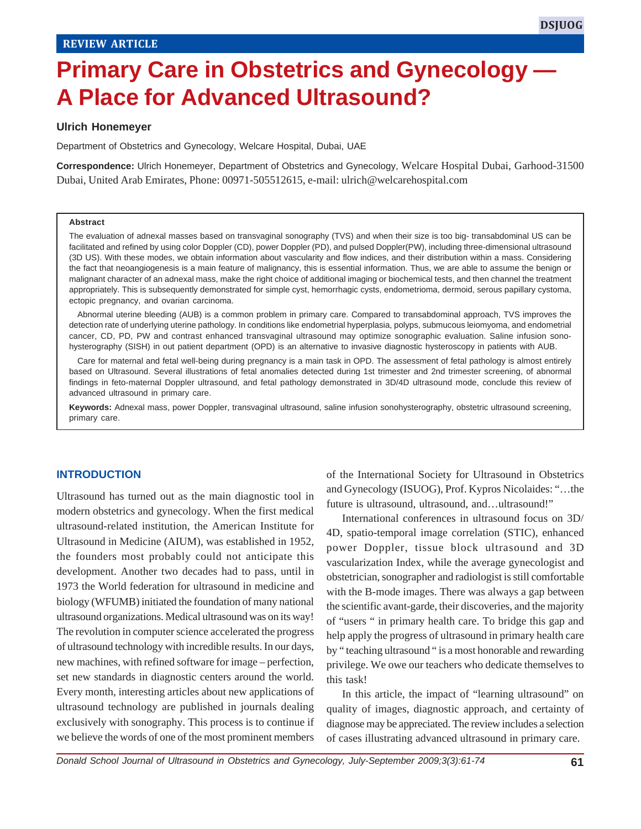# **Primary Care in Obstetrics and Gynecology — A Place for Advanced Ultrasound?**

#### **Ulrich Honemeyer**

Department of Obstetrics and Gynecology, Welcare Hospital, Dubai, UAE

**Correspondence:** Ulrich Honemeyer, Department of Obstetrics and Gynecology, Welcare Hospital Dubai, Garhood-31500 Dubai, United Arab Emirates, Phone: 00971-505512615, e-mail: ulrich@welcarehospital.com

#### **Abstract**

The evaluation of adnexal masses based on transvaginal sonography (TVS) and when their size is too big- transabdominal US can be facilitated and refined by using color Doppler (CD), power Doppler (PD), and pulsed Doppler(PW), including three-dimensional ultrasound (3D US). With these modes, we obtain information about vascularity and flow indices, and their distribution within a mass. Considering the fact that neoangiogenesis is a main feature of malignancy, this is essential information. Thus, we are able to assume the benign or malignant character of an adnexal mass, make the right choice of additional imaging or biochemical tests, and then channel the treatment appropriately. This is subsequently demonstrated for simple cyst, hemorrhagic cysts, endometrioma, dermoid, serous papillary cystoma, ectopic pregnancy, and ovarian carcinoma.

Abnormal uterine bleeding (AUB) is a common problem in primary care. Compared to transabdominal approach, TVS improves the detection rate of underlying uterine pathology. In conditions like endometrial hyperplasia, polyps, submucous leiomyoma, and endometrial cancer, CD, PD, PW and contrast enhanced transvaginal ultrasound may optimize sonographic evaluation. Saline infusion sonohysterography (SISH) in out patient department (OPD) is an alternative to invasive diagnostic hysteroscopy in patients with AUB.

Care for maternal and fetal well-being during pregnancy is a main task in OPD. The assessment of fetal pathology is almost entirely based on Ultrasound. Several illustrations of fetal anomalies detected during 1st trimester and 2nd trimester screening, of abnormal findings in feto-maternal Doppler ultrasound, and fetal pathology demonstrated in 3D/4D ultrasound mode, conclude this review of advanced ultrasound in primary care.

**Keywords:** Adnexal mass, power Doppler, transvaginal ultrasound, saline infusion sonohysterography, obstetric ultrasound screening, primary care.

#### **INTRODUCTION**

Ultrasound has turned out as the main diagnostic tool in modern obstetrics and gynecology. When the first medical ultrasound-related institution, the American Institute for Ultrasound in Medicine (AIUM), was established in 1952, the founders most probably could not anticipate this development. Another two decades had to pass, until in 1973 the World federation for ultrasound in medicine and biology (WFUMB) initiated the foundation of many national ultrasound organizations. Medical ultrasound was on its way! The revolution in computer science accelerated the progress of ultrasound technology with incredible results. In our days, new machines, with refined software for image – perfection, set new standards in diagnostic centers around the world. Every month, interesting articles about new applications of ultrasound technology are published in journals dealing exclusively with sonography. This process is to continue if we believe the words of one of the most prominent members

of the International Society for Ultrasound in Obstetrics and Gynecology (ISUOG), Prof. Kypros Nicolaides: "…the future is ultrasound, ultrasound, and...ultrasound!"

International conferences in ultrasound focus on 3D/ 4D, spatio-temporal image correlation (STIC), enhanced power Doppler, tissue block ultrasound and 3D vascularization Index, while the average gynecologist and obstetrician, sonographer and radiologist is still comfortable with the B-mode images. There was always a gap between the scientific avant-garde, their discoveries, and the majority of "users " in primary health care. To bridge this gap and help apply the progress of ultrasound in primary health care by " teaching ultrasound " is a most honorable and rewarding privilege. We owe our teachers who dedicate themselves to this task!

In this article, the impact of "learning ultrasound" on quality of images, diagnostic approach, and certainty of diagnose may be appreciated. The review includes a selection of cases illustrating advanced ultrasound in primary care.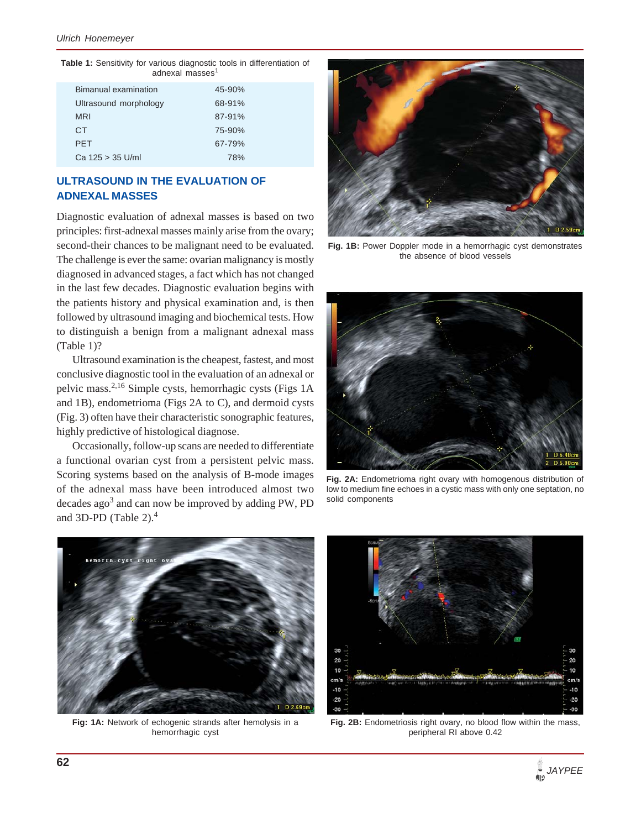**Table 1:** Sensitivity for various diagnostic tools in differentiation of adnexal masses<sup>1</sup>

| Bimanual examination  | $45 - 90%$ |
|-----------------------|------------|
| Ultrasound morphology | 68-91%     |
| <b>MRI</b>            | 87-91%     |
| CT.                   | 75-90%     |
| <b>PFT</b>            | 67-79%     |
| Ca 125 > 35 U/ml      | 78%        |

## **ULTRASOUND IN THE EVALUATION OF ADNEXAL MASSES**

Diagnostic evaluation of adnexal masses is based on two principles: first-adnexal masses mainly arise from the ovary; second-their chances to be malignant need to be evaluated. The challenge is ever the same: ovarian malignancy is mostly diagnosed in advanced stages, a fact which has not changed in the last few decades. Diagnostic evaluation begins with the patients history and physical examination and, is then followed by ultrasound imaging and biochemical tests. How to distinguish a benign from a malignant adnexal mass (Table 1)?

Ultrasound examination is the cheapest, fastest, and most conclusive diagnostic tool in the evaluation of an adnexal or pelvic mass.2,16 Simple cysts, hemorrhagic cysts (Figs 1A and 1B), endometrioma (Figs 2A to C), and dermoid cysts (Fig. 3) often have their characteristic sonographic features, highly predictive of histological diagnose.

Occasionally, follow-up scans are needed to differentiate a functional ovarian cyst from a persistent pelvic mass. Scoring systems based on the analysis of B-mode images of the adnexal mass have been introduced almost two decades ago<sup>3</sup> and can now be improved by adding PW, PD and 3D-PD (Table 2).<sup>4</sup>



**Fig. 1B:** Power Doppler mode in a hemorrhagic cyst demonstrates the absence of blood vessels



**Fig. 2A:** Endometrioma right ovary with homogenous distribution of low to medium fine echoes in a cystic mass with only one septation, no solid components



**Fig: 1A:** Network of echogenic strands after hemolysis in a hemorrhagic cyst



**Fig. 2B:** Endometriosis right ovary, no blood flow within the mass, peripheral RI above 0.42

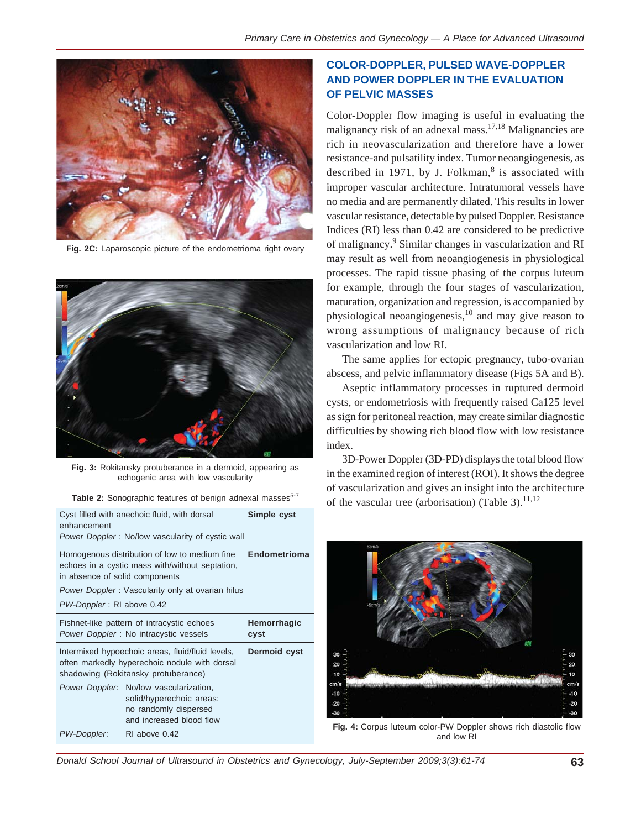

**Fig. 2C:** Laparoscopic picture of the endometrioma right ovary



**Fig. 3:** Rokitansky protuberance in a dermoid, appearing as echogenic area with low vascularity

| Table 2: Sonographic features of benign adnexal masses <sup>5-7</sup> |  |  |  |
|-----------------------------------------------------------------------|--|--|--|

| Cyst filled with anechoic fluid, with dorsal<br>enhancement<br>Power Doppler: No/low vascularity of cystic wall                                          | Simple cyst                                                                                                             |  |  |  |  |
|----------------------------------------------------------------------------------------------------------------------------------------------------------|-------------------------------------------------------------------------------------------------------------------------|--|--|--|--|
| Homogenous distribution of low to medium fine<br>echoes in a cystic mass with/without septation,<br>in absence of solid components                       | Endometrioma                                                                                                            |  |  |  |  |
| Power Doppler: Vascularity only at ovarian hilus                                                                                                         |                                                                                                                         |  |  |  |  |
| PW-Doppler: RI above 0.42                                                                                                                                |                                                                                                                         |  |  |  |  |
| Fishnet-like pattern of intracystic echoes<br>Power Doppler: No intracystic vessels                                                                      | Hemorrhagic<br>cyst                                                                                                     |  |  |  |  |
| Intermixed hypoechoic areas, fluid/fluid levels,<br>Dermoid cyst<br>often markedly hyperechoic nodule with dorsal<br>shadowing (Rokitansky protuberance) |                                                                                                                         |  |  |  |  |
|                                                                                                                                                          | Power Doppler: No/low vascularization,<br>solid/hyperechoic areas:<br>no randomly dispersed<br>and increased blood flow |  |  |  |  |
| PW-Doppler:                                                                                                                                              | RI above 0.42                                                                                                           |  |  |  |  |

## **COLOR-DOPPLER, PULSED WAVE-DOPPLER AND POWER DOPPLER IN THE EVALUATION OF PELVIC MASSES**

Color-Doppler flow imaging is useful in evaluating the malignancy risk of an adnexal mass.<sup>17,18</sup> Malignancies are rich in neovascularization and therefore have a lower resistance-and pulsatility index. Tumor neoangiogenesis, as described in 1971, by J. Folkman, $8$  is associated with improper vascular architecture. Intratumoral vessels have no media and are permanently dilated. This results in lower vascular resistance, detectable by pulsed Doppler. Resistance Indices (RI) less than 0.42 are considered to be predictive of malignancy.<sup>9</sup> Similar changes in vascularization and RI may result as well from neoangiogenesis in physiological processes. The rapid tissue phasing of the corpus luteum for example, through the four stages of vascularization, maturation, organization and regression, is accompanied by physiological neoangiogenesis, $10$  and may give reason to wrong assumptions of malignancy because of rich vascularization and low RI.

The same applies for ectopic pregnancy, tubo-ovarian abscess, and pelvic inflammatory disease (Figs 5A and B).

Aseptic inflammatory processes in ruptured dermoid cysts, or endometriosis with frequently raised Ca125 level as sign for peritoneal reaction, may create similar diagnostic difficulties by showing rich blood flow with low resistance index.

3D-Power Doppler (3D-PD) displays the total blood flow in the examined region of interest (ROI). It shows the degree of vascularization and gives an insight into the architecture of the vascular tree (arborisation) (Table 3).<sup>11,12</sup>



**Fig. 4:** Corpus luteum color-PW Doppler shows rich diastolic flow and low RI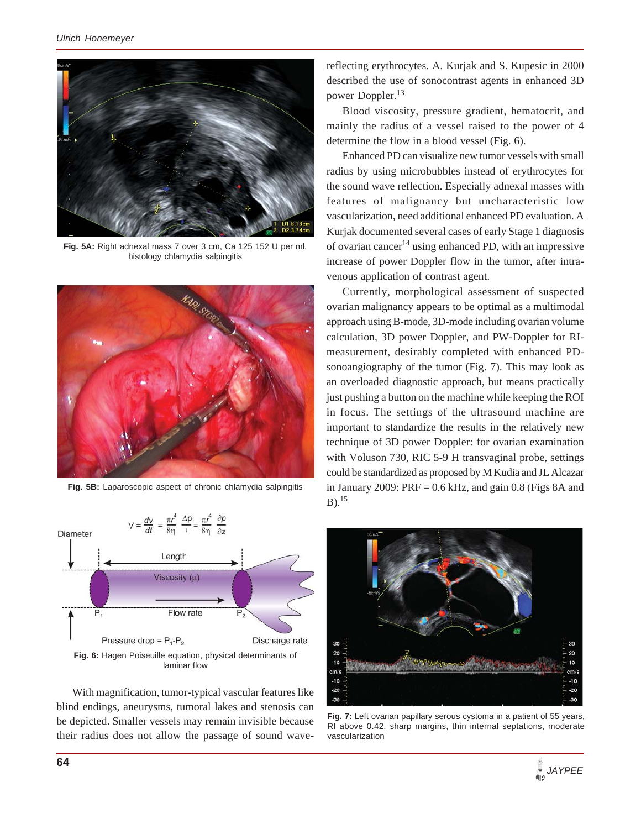

**Fig. 5A:** Right adnexal mass 7 over 3 cm, Ca 125 152 U per ml, histology chlamydia salpingitis



**Fig. 5B:** Laparoscopic aspect of chronic chlamydia salpingitis



With magnification, tumor-typical vascular features like blind endings, aneurysms, tumoral lakes and stenosis can be depicted. Smaller vessels may remain invisible because their radius does not allow the passage of sound wavereflecting erythrocytes. A. Kurjak and S. Kupesic in 2000 described the use of sonocontrast agents in enhanced 3D power Doppler.<sup>13</sup>

Blood viscosity, pressure gradient, hematocrit, and mainly the radius of a vessel raised to the power of 4 determine the flow in a blood vessel (Fig. 6).

Enhanced PD can visualize new tumor vessels with small radius by using microbubbles instead of erythrocytes for the sound wave reflection. Especially adnexal masses with features of malignancy but uncharacteristic low vascularization, need additional enhanced PD evaluation. A Kurjak documented several cases of early Stage 1 diagnosis of ovarian cancer<sup>14</sup> using enhanced PD, with an impressive increase of power Doppler flow in the tumor, after intravenous application of contrast agent.

Currently, morphological assessment of suspected ovarian malignancy appears to be optimal as a multimodal approach using B-mode, 3D-mode including ovarian volume calculation, 3D power Doppler, and PW-Doppler for RImeasurement, desirably completed with enhanced PDsonoangiography of the tumor (Fig. 7). This may look as an overloaded diagnostic approach, but means practically just pushing a button on the machine while keeping the ROI in focus. The settings of the ultrasound machine are important to standardize the results in the relatively new technique of 3D power Doppler: for ovarian examination with Voluson 730, RIC 5-9 H transvaginal probe, settings could be standardized as proposed by M Kudia and JL Alcazar in January 2009:  $PRF = 0.6$  kHz, and gain 0.8 (Figs 8A and  $B)$ <sup>15</sup>



**Fig. 7:** Left ovarian papillary serous cystoma in a patient of 55 years, RI above 0.42, sharp margins, thin internal septations, moderate vascularization

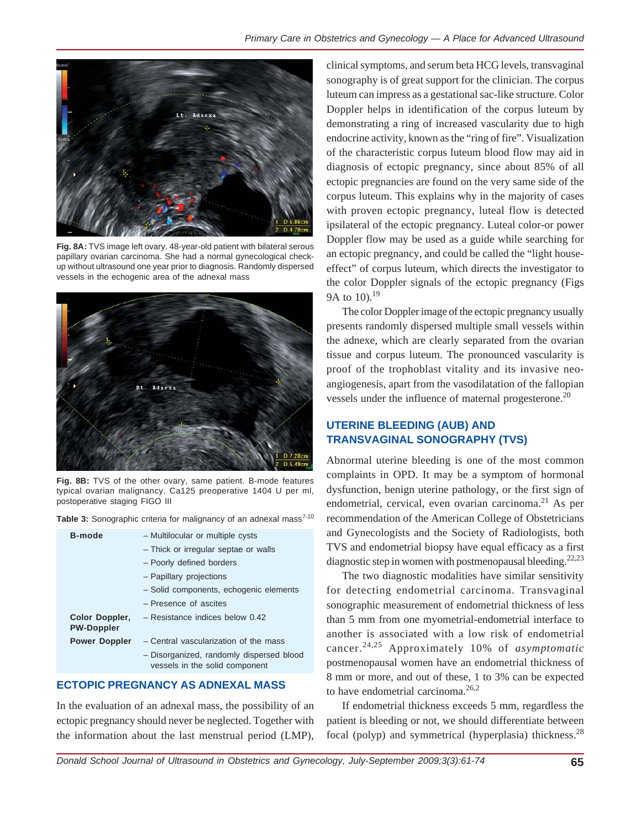

**Fig. 8A:** TVS image left ovary. 48-year-old patient with bilateral serous papillary ovarian carcinoma. She had a normal gynecological checkup without ultrasound one year prior to diagnosis. Randomly dispersed vessels in the echogenic area of the adnexal mass



**Fig. 8B:** TVS of the other ovary, same patient. B-mode features typical ovarian malignancy. Ca125 preoperative 1404 U per ml, postoperative staging FIGO III

Table 3: Sonographic criteria for malignancy of an adnexal mass<sup>7-10</sup>

| <b>B-mode</b>                       | - Multilocular or multiple cysts                                           |
|-------------------------------------|----------------------------------------------------------------------------|
|                                     | - Thick or irregular septae or walls                                       |
|                                     | - Poorly defined borders                                                   |
|                                     | - Papillary projections                                                    |
|                                     | - Solid components, echogenic elements                                     |
|                                     | - Presence of ascites                                                      |
| Color Doppler,<br><b>PW-Doppler</b> | $-$ Resistance indices below 0.42                                          |
| <b>Power Doppler</b>                | - Central vascularization of the mass                                      |
|                                     | - Disorganized, randomly dispersed blood<br>vessels in the solid component |

## **ECTOPIC PREGNANCY AS ADNEXAL MASS**

In the evaluation of an adnexal mass, the possibility of an ectopic pregnancy should never be neglected. Together with the information about the last menstrual period (LMP),

clinical symptoms, and serum beta HCG levels, transvaginal sonography is of great support for the clinician. The corpus luteum can impress as a gestational sac-like structure. Color Doppler helps in identification of the corpus luteum by demonstrating a ring of increased vascularity due to high endocrine activity, known as the "ring of fire". Visualization of the characteristic corpus luteum blood flow may aid in diagnosis of ectopic pregnancy, since about 85% of all ectopic pregnancies are found on the very same side of the corpus luteum. This explains why in the majority of cases with proven ectopic pregnancy, luteal flow is detected ipsilateral of the ectopic pregnancy. Luteal color-or power Doppler flow may be used as a guide while searching for an ectopic pregnancy, and could be called the "light houseeffect" of corpus luteum, which directs the investigator to the color Doppler signals of the ectopic pregnancy (Figs 9A to 10).<sup>19</sup>

The color Doppler image of the ectopic pregnancy usually presents randomly dispersed multiple small vessels within the adnexe, which are clearly separated from the ovarian tissue and corpus luteum. The pronounced vascularity is proof of the trophoblast vitality and its invasive neoangiogenesis, apart from the vasodilatation of the fallopian vessels under the influence of maternal progesterone.<sup>20</sup>

## **UTERINE BLEEDING (AUB) AND TRANSVAGINAL SONOGRAPHY (TVS)**

Abnormal uterine bleeding is one of the most common complaints in OPD. It may be a symptom of hormonal dysfunction, benign uterine pathology, or the first sign of endometrial, cervical, even ovarian carcinoma.<sup>21</sup> As per recommendation of the American College of Obstetricians and Gynecologists and the Society of Radiologists, both TVS and endometrial biopsy have equal efficacy as a first diagnostic step in women with postmenopausal bleeding.<sup>22,23</sup>

The two diagnostic modalities have similar sensitivity for detecting endometrial carcinoma. Transvaginal sonographic measurement of endometrial thickness of less than 5 mm from one myometrial-endometrial interface to another is associated with a low risk of endometrial cancer.24,25 Approximately 10% of *asymptomatic* postmenopausal women have an endometrial thickness of 8 mm or more, and out of these, 1 to 3% can be expected to have endometrial carcinoma.<sup>26,2</sup>

If endometrial thickness exceeds 5 mm, regardless the patient is bleeding or not, we should differentiate between focal (polyp) and symmetrical (hyperplasia) thickness.<sup>28</sup>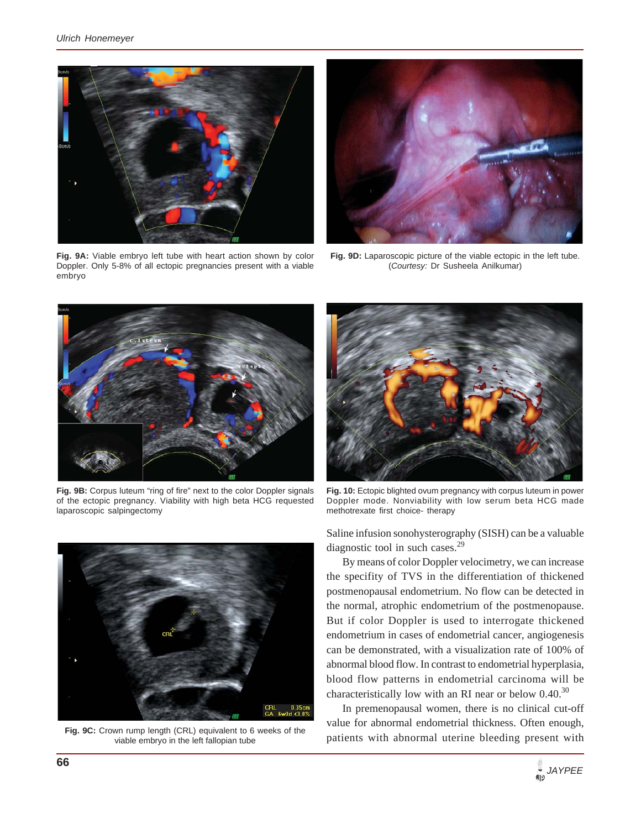

**Fig. 9A:** Viable embryo left tube with heart action shown by color Doppler. Only 5-8% of all ectopic pregnancies present with a viable embryo



**Fig. 9D:** Laparoscopic picture of the viable ectopic in the left tube. (*Courtesy:* Dr Susheela Anilkumar)



Fig. 9B: Corpus luteum "ring of fire" next to the color Doppler signals of the ectopic pregnancy. Viability with high beta HCG requested laparoscopic salpingectomy



**Fig. 9C:** Crown rump length (CRL) equivalent to 6 weeks of the viable embryo in the left fallopian tube



**Fig. 10:** Ectopic blighted ovum pregnancy with corpus luteum in power Doppler mode. Nonviability with low serum beta HCG made methotrexate first choice- therapy

Saline infusion sonohysterography (SISH) can be a valuable diagnostic tool in such cases.<sup>29</sup>

By means of color Doppler velocimetry, we can increase the specifity of TVS in the differentiation of thickened postmenopausal endometrium. No flow can be detected in the normal, atrophic endometrium of the postmenopause. But if color Doppler is used to interrogate thickened endometrium in cases of endometrial cancer, angiogenesis can be demonstrated, with a visualization rate of 100% of abnormal blood flow. In contrast to endometrial hyperplasia, blood flow patterns in endometrial carcinoma will be characteristically low with an RI near or below  $0.40^{30}$ 

In premenopausal women, there is no clinical cut-off value for abnormal endometrial thickness. Often enough, patients with abnormal uterine bleeding present with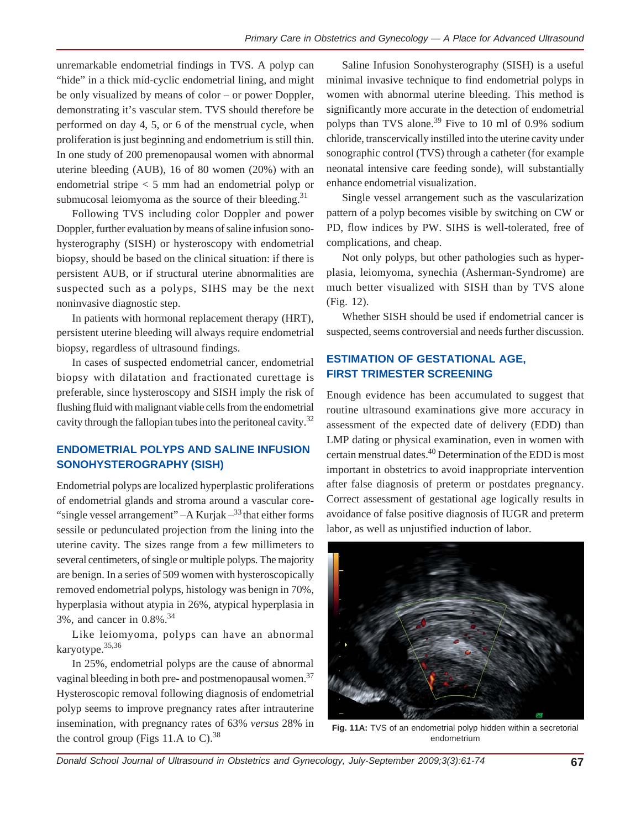unremarkable endometrial findings in TVS. A polyp can "hide" in a thick mid-cyclic endometrial lining, and might be only visualized by means of color – or power Doppler, demonstrating it's vascular stem. TVS should therefore be performed on day 4, 5, or 6 of the menstrual cycle, when proliferation is just beginning and endometrium is still thin. In one study of 200 premenopausal women with abnormal uterine bleeding (AUB), 16 of 80 women (20%) with an endometrial stripe < 5 mm had an endometrial polyp or submucosal leiomyoma as the source of their bleeding.<sup>31</sup>

Following TVS including color Doppler and power Doppler, further evaluation by means of saline infusion sonohysterography (SISH) or hysteroscopy with endometrial biopsy, should be based on the clinical situation: if there is persistent AUB, or if structural uterine abnormalities are suspected such as a polyps, SIHS may be the next noninvasive diagnostic step.

In patients with hormonal replacement therapy (HRT), persistent uterine bleeding will always require endometrial biopsy, regardless of ultrasound findings.

In cases of suspected endometrial cancer, endometrial biopsy with dilatation and fractionated curettage is preferable, since hysteroscopy and SISH imply the risk of flushing fluid with malignant viable cells from the endometrial cavity through the fallopian tubes into the peritoneal cavity.<sup>32</sup>

## **ENDOMETRIAL POLYPS AND SALINE INFUSION SONOHYSTEROGRAPHY (SISH)**

Endometrial polyps are localized hyperplastic proliferations of endometrial glands and stroma around a vascular core- "single vessel arrangement"  $-A$  Kurjak  $-$ <sup>33</sup> that either forms sessile or pedunculated projection from the lining into the uterine cavity. The sizes range from a few millimeters to several centimeters, of single or multiple polyps. The majority are benign. In a series of 509 women with hysteroscopically removed endometrial polyps, histology was benign in 70%, hyperplasia without atypia in 26%, atypical hyperplasia in 3%, and cancer in 0.8%.34

Like leiomyoma, polyps can have an abnormal karyotype.35,36

In 25%, endometrial polyps are the cause of abnormal vaginal bleeding in both pre- and postmenopausal women.<sup>37</sup> Hysteroscopic removal following diagnosis of endometrial polyp seems to improve pregnancy rates after intrauterine insemination, with pregnancy rates of 63% *versus* 28% in the control group (Figs 11.A to  $C$ ).<sup>38</sup>

Saline Infusion Sonohysterography (SISH) is a useful minimal invasive technique to find endometrial polyps in women with abnormal uterine bleeding. This method is significantly more accurate in the detection of endometrial polyps than TVS alone.<sup>39</sup> Five to 10 ml of 0.9% sodium chloride, transcervically instilled into the uterine cavity under sonographic control (TVS) through a catheter (for example neonatal intensive care feeding sonde), will substantially enhance endometrial visualization.

Single vessel arrangement such as the vascularization pattern of a polyp becomes visible by switching on CW or PD, flow indices by PW. SIHS is well-tolerated, free of complications, and cheap.

Not only polyps, but other pathologies such as hyperplasia, leiomyoma, synechia (Asherman-Syndrome) are much better visualized with SISH than by TVS alone (Fig. 12).

Whether SISH should be used if endometrial cancer is suspected, seems controversial and needs further discussion.

## **ESTIMATION OF GESTATIONAL AGE, FIRST TRIMESTER SCREENING**

Enough evidence has been accumulated to suggest that routine ultrasound examinations give more accuracy in assessment of the expected date of delivery (EDD) than LMP dating or physical examination, even in women with certain menstrual dates.40 Determination of the EDD is most important in obstetrics to avoid inappropriate intervention after false diagnosis of preterm or postdates pregnancy. Correct assessment of gestational age logically results in avoidance of false positive diagnosis of IUGR and preterm labor, as well as unjustified induction of labor.



**Fig. 11A:** TVS of an endometrial polyp hidden within a secretorial endometrium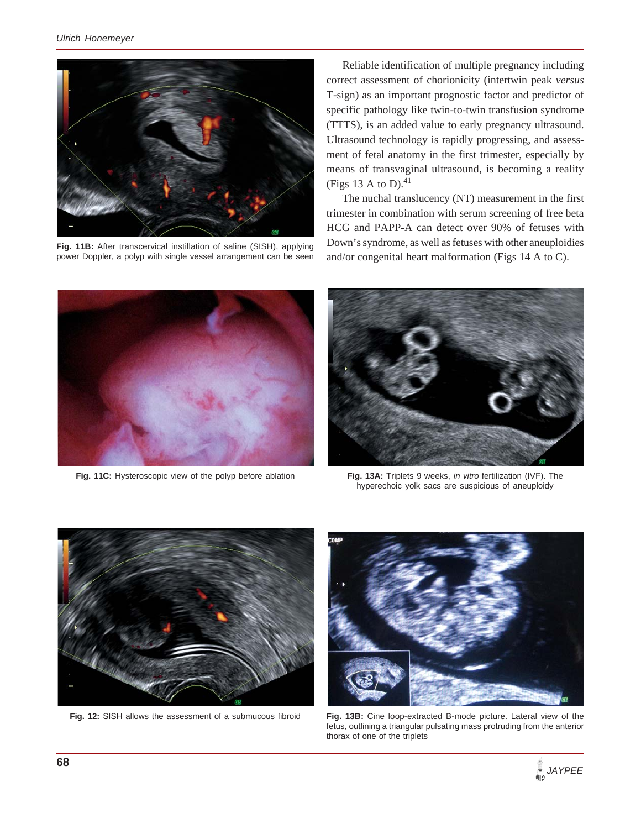

**Fig. 11B:** After transcervical instillation of saline (SISH), applying power Doppler, a polyp with single vessel arrangement can be seen

Reliable identification of multiple pregnancy including correct assessment of chorionicity (intertwin peak *versus* T-sign) as an important prognostic factor and predictor of specific pathology like twin-to-twin transfusion syndrome (TTTS), is an added value to early pregnancy ultrasound. Ultrasound technology is rapidly progressing, and assessment of fetal anatomy in the first trimester, especially by means of transvaginal ultrasound, is becoming a reality (Figs 13 A to D). $^{41}$ 

The nuchal translucency (NT) measurement in the first trimester in combination with serum screening of free beta HCG and PAPP-A can detect over 90% of fetuses with Down's syndrome, as well as fetuses with other aneuploidies and/or congenital heart malformation (Figs 14 A to C).



**Fig. 11C:** Hysteroscopic view of the polyp before ablation



**Fig. 13A:** Triplets 9 weeks, *in vitro* fertilization (IVF). The hyperechoic yolk sacs are suspicious of aneuploidy



**Fig. 12:** SISH allows the assessment of a submucous fibroid



**Fig. 13B:** Cine loop-extracted B-mode picture. Lateral view of the fetus, outlining a triangular pulsating mass protruding from the anterior thorax of one of the triplets

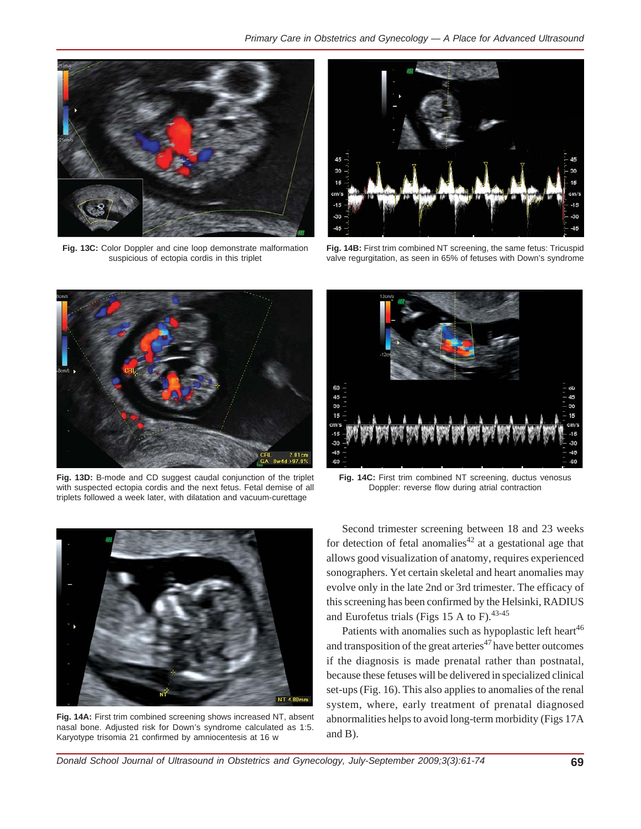

**Fig. 13C:** Color Doppler and cine loop demonstrate malformation suspicious of ectopia cordis in this triplet



**Fig. 14B:** First trim combined NT screening, the same fetus: Tricuspid valve regurgitation, as seen in 65% of fetuses with Down's syndrome



**Fig. 13D:** B-mode and CD suggest caudal conjunction of the triplet with suspected ectopia cordis and the next fetus. Fetal demise of all triplets followed a week later, with dilatation and vacuum-curettage



**Fig. 14A:** First trim combined screening shows increased NT, absent nasal bone. Adjusted risk for Down's syndrome calculated as 1:5. Karyotype trisomia 21 confirmed by amniocentesis at 16 w



**Fig. 14C:** First trim combined NT screening, ductus venosus Doppler: reverse flow during atrial contraction

Second trimester screening between 18 and 23 weeks for detection of fetal anomalies<sup>42</sup> at a gestational age that allows good visualization of anatomy, requires experienced sonographers. Yet certain skeletal and heart anomalies may evolve only in the late 2nd or 3rd trimester. The efficacy of this screening has been confirmed by the Helsinki, RADIUS and Eurofetus trials (Figs 15 A to F). $43-45$ 

Patients with anomalies such as hypoplastic left heart<sup>46</sup> and transposition of the great arteries<sup>47</sup> have better outcomes if the diagnosis is made prenatal rather than postnatal, because these fetuses will be delivered in specialized clinical set-ups (Fig. 16). This also applies to anomalies of the renal system, where, early treatment of prenatal diagnosed abnormalities helps to avoid long-term morbidity (Figs 17A and B).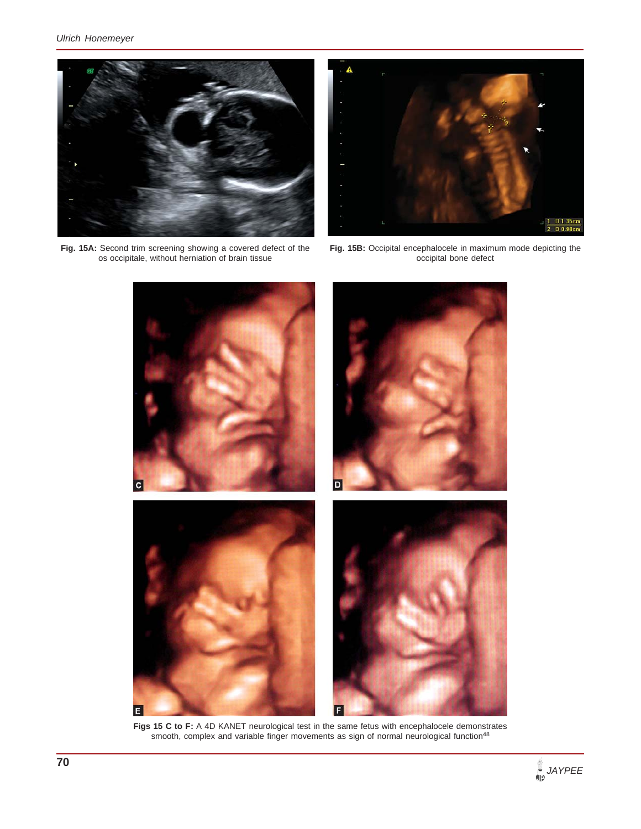

**Fig. 15A:** Second trim screening showing a covered defect of the os occipitale, without herniation of brain tissue



**Fig. 15B:** Occipital encephalocele in maximum mode depicting the occipital bone defect



Figs 15 C to F: A 4D KANET neurological test in the same fetus with encephalocele demonstrates smooth, complex and variable finger movements as sign of normal neurological function<sup>48</sup>

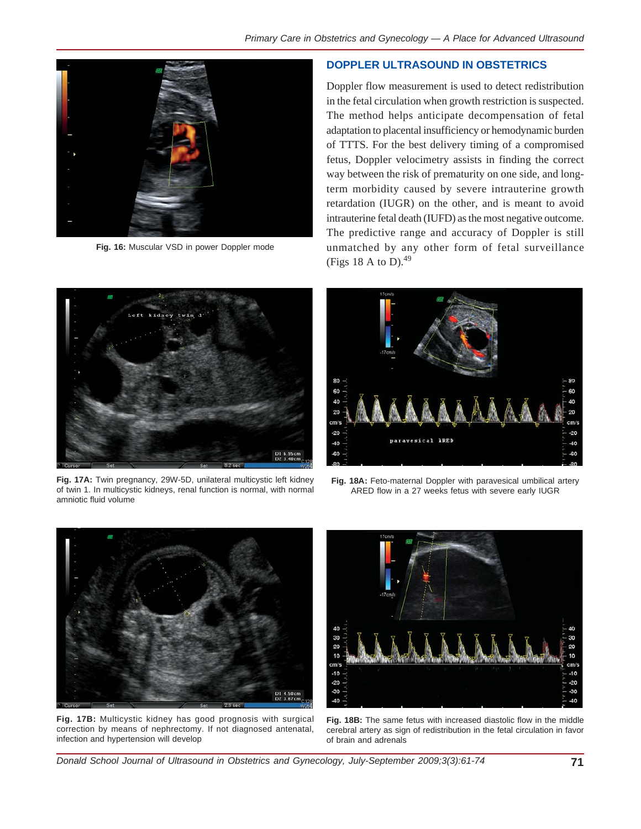

**Fig. 16:** Muscular VSD in power Doppler mode

### **DOPPLER ULTRASOUND IN OBSTETRICS**

Doppler flow measurement is used to detect redistribution in the fetal circulation when growth restriction is suspected. The method helps anticipate decompensation of fetal adaptation to placental insufficiency or hemodynamic burden of TTTS. For the best delivery timing of a compromised fetus, Doppler velocimetry assists in finding the correct way between the risk of prematurity on one side, and longterm morbidity caused by severe intrauterine growth retardation (IUGR) on the other, and is meant to avoid intrauterine fetal death (IUFD) as the most negative outcome. The predictive range and accuracy of Doppler is still unmatched by any other form of fetal surveillance (Figs 18 A to D). $49$ 



**Fig. 17A:** Twin pregnancy, 29W-5D, unilateral multicystic left kidney of twin 1. In multicystic kidneys, renal function is normal, with normal amniotic fluid volume



**Fig. 18A:** Feto-maternal Doppler with paravesical umbilical artery ARED flow in a 27 weeks fetus with severe early IUGR



**Fig. 17B:** Multicystic kidney has good prognosis with surgical correction by means of nephrectomy. If not diagnosed antenatal, infection and hypertension will develop



**Fig. 18B:** The same fetus with increased diastolic flow in the middle cerebral artery as sign of redistribution in the fetal circulation in favor of brain and adrenals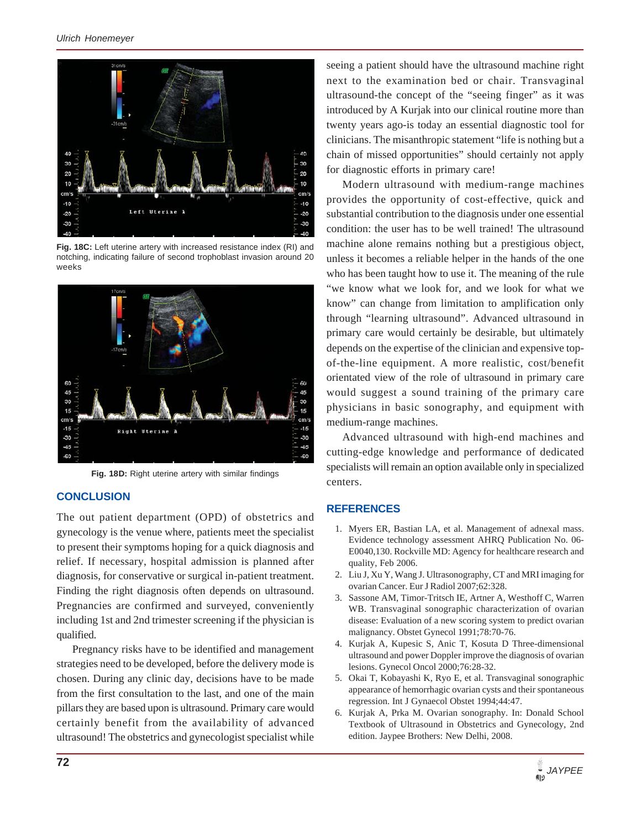

**Fig. 18C:** Left uterine artery with increased resistance index (RI) and notching, indicating failure of second trophoblast invasion around 20 weeks



**Fig. 18D:** Right uterine artery with similar findings

### **CONCLUSION**

The out patient department (OPD) of obstetrics and gynecology is the venue where, patients meet the specialist to present their symptoms hoping for a quick diagnosis and relief. If necessary, hospital admission is planned after diagnosis, for conservative or surgical in-patient treatment. Finding the right diagnosis often depends on ultrasound. Pregnancies are confirmed and surveyed, conveniently including 1st and 2nd trimester screening if the physician is qualified.

Pregnancy risks have to be identified and management strategies need to be developed, before the delivery mode is chosen. During any clinic day, decisions have to be made from the first consultation to the last, and one of the main pillars they are based upon is ultrasound. Primary care would certainly benefit from the availability of advanced ultrasound! The obstetrics and gynecologist specialist while

seeing a patient should have the ultrasound machine right next to the examination bed or chair. Transvaginal ultrasound-the concept of the "seeing finger" as it was introduced by A Kurjak into our clinical routine more than twenty years ago-is today an essential diagnostic tool for clinicians. The misanthropic statement "life is nothing but a chain of missed opportunities" should certainly not apply for diagnostic efforts in primary care!

Modern ultrasound with medium-range machines provides the opportunity of cost-effective, quick and substantial contribution to the diagnosis under one essential condition: the user has to be well trained! The ultrasound machine alone remains nothing but a prestigious object, unless it becomes a reliable helper in the hands of the one who has been taught how to use it. The meaning of the rule "we know what we look for, and we look for what we know" can change from limitation to amplification only through "learning ultrasound". Advanced ultrasound in primary care would certainly be desirable, but ultimately depends on the expertise of the clinician and expensive topof-the-line equipment. A more realistic, cost/benefit orientated view of the role of ultrasound in primary care would suggest a sound training of the primary care physicians in basic sonography, and equipment with medium-range machines.

Advanced ultrasound with high-end machines and cutting-edge knowledge and performance of dedicated specialists will remain an option available only in specialized centers.

#### **REFERENCES**

- 1. Myers ER, Bastian LA, et al. Management of adnexal mass. Evidence technology assessment AHRQ Publication No. 06- E0040,130. Rockville MD: Agency for healthcare research and quality, Feb 2006.
- 2. Liu J, Xu Y, Wang J. Ultrasonography, CT and MRI imaging for ovarian Cancer. Eur J Radiol 2007;62:328.
- 3. Sassone AM, Timor-Tritsch IE, Artner A, Westhoff C, Warren WB. Transvaginal sonographic characterization of ovarian disease: Evaluation of a new scoring system to predict ovarian malignancy. Obstet Gynecol 1991;78:70-76.
- 4. Kurjak A, Kupesic S, Anic T, Kosuta D Three-dimensional ultrasound and power Doppler improve the diagnosis of ovarian lesions. Gynecol Oncol 2000;76:28-32.
- 5. Okai T, Kobayashi K, Ryo E, et al. Transvaginal sonographic appearance of hemorrhagic ovarian cysts and their spontaneous regression. Int J Gynaecol Obstet 1994;44:47.
- 6. Kurjak A, Prka M. Ovarian sonography. In: Donald School Textbook of Ultrasound in Obstetrics and Gynecology, 2nd edition. Jaypee Brothers: New Delhi, 2008.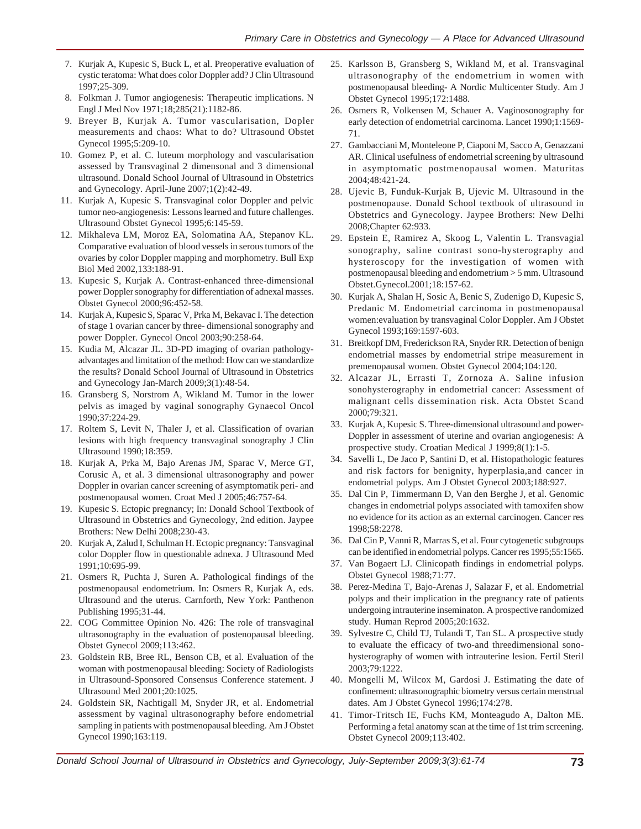- 7. Kurjak A, Kupesic S, Buck L, et al. Preoperative evaluation of cystic teratoma: What does color Doppler add? J Clin Ultrasound 1997;25-309.
- 8. Folkman J. Tumor angiogenesis: Therapeutic implications. N Engl J Med Nov 1971;18;285(21):1182-86.
- 9. Breyer B, Kurjak A. Tumor vascularisation, Dopler measurements and chaos: What to do? Ultrasound Obstet Gynecol 1995;5:209-10.
- 10. Gomez P, et al. C. luteum morphology and vascularisation assessed by Transvaginal 2 dimensonal and 3 dimensional ultrasound. Donald School Journal of Ultrasound in Obstetrics and Gynecology. April-June 2007;1(2):42-49.
- 11. Kurjak A, Kupesic S. Transvaginal color Doppler and pelvic tumor neo-angiogenesis: Lessons learned and future challenges. Ultrasound Obstet Gynecol 1995;6:145-59.
- 12. Mikhaleva LM, Moroz EA, Solomatina AA, Stepanov KL. Comparative evaluation of blood vessels in serous tumors of the ovaries by color Doppler mapping and morphometry. Bull Exp Biol Med 2002,133:188-91.
- 13. Kupesic S, Kurjak A. Contrast-enhanced three-dimensional power Doppler sonography for differentiation of adnexal masses. Obstet Gynecol 2000;96:452-58.
- 14. Kurjak A, Kupesic S, Sparac V, Prka M, Bekavac I. The detection of stage 1 ovarian cancer by three- dimensional sonography and power Doppler. Gynecol Oncol 2003;90:258-64.
- 15. Kudia M, Alcazar JL. 3D-PD imaging of ovarian pathologyadvantages and limitation of the method: How can we standardize the results? Donald School Journal of Ultrasound in Obstetrics and Gynecology Jan-March 2009;3(1):48-54.
- 16. Gransberg S, Norstrom A, Wikland M. Tumor in the lower pelvis as imaged by vaginal sonography Gynaecol Oncol 1990;37:224-29.
- 17. Roltem S, Levit N, Thaler J, et al. Classification of ovarian lesions with high frequency transvaginal sonography J Clin Ultrasound 1990;18:359.
- 18. Kurjak A, Prka M, Bajo Arenas JM, Sparac V, Merce GT, Corusic A, et al. 3 dimensional ultrasonography and power Doppler in ovarian cancer screening of asymptomatik peri- and postmenopausal women. Croat Med J 2005;46:757-64.
- 19. Kupesic S. Ectopic pregnancy; In: Donald School Textbook of Ultrasound in Obstetrics and Gynecology, 2nd edition. Jaypee Brothers: New Delhi 2008;230-43.
- 20. Kurjak A, Zalud I, Schulman H. Ectopic pregnancy: Tansvaginal color Doppler flow in questionable adnexa. J Ultrasound Med 1991;10:695-99.
- 21. Osmers R, Puchta J, Suren A. Pathological findings of the postmenopausal endometrium. In: Osmers R, Kurjak A, eds. Ultrasound and the uterus. Carnforth, New York: Panthenon Publishing 1995;31-44.
- 22. COG Committee Opinion No. 426: The role of transvaginal ultrasonography in the evaluation of postenopausal bleeding. Obstet Gynecol 2009;113:462.
- 23. Goldstein RB, Bree RL, Benson CB, et al. Evaluation of the woman with postmenopausal bleeding: Society of Radiologists in Ultrasound-Sponsored Consensus Conference statement. J Ultrasound Med 2001;20:1025.
- 24. Goldstein SR, Nachtigall M, Snyder JR, et al. Endometrial assessment by vaginal ultrasonography before endometrial sampling in patients with postmenopausal bleeding. Am J Obstet Gynecol 1990;163:119.
- 25. Karlsson B, Gransberg S, Wikland M, et al. Transvaginal ultrasonography of the endometrium in women with postmenopausal bleeding- A Nordic Multicenter Study. Am J Obstet Gynecol 1995;172:1488.
- 26. Osmers R, Volkensen M, Schauer A. Vaginosonography for early detection of endometrial carcinoma. Lancet 1990;1:1569- 71.
- 27. Gambacciani M, Monteleone P, Ciaponi M, Sacco A, Genazzani AR. Clinical usefulness of endometrial screening by ultrasound in asymptomatic postmenopausal women. Maturitas 2004;48:421-24.
- 28. Ujevic B, Funduk-Kurjak B, Ujevic M. Ultrasound in the postmenopause. Donald School textbook of ultrasound in Obstetrics and Gynecology. Jaypee Brothers: New Delhi 2008;Chapter 62:933.
- 29. Epstein E, Ramirez A, Skoog L, Valentin L. Transvagial sonography, saline contrast sono-hysterography and hysteroscopy for the investigation of women with postmenopausal bleeding and endometrium > 5 mm. Ultrasound Obstet.Gynecol.2001;18:157-62.
- 30. Kurjak A, Shalan H, Sosic A, Benic S, Zudenigo D, Kupesic S, Predanic M. Endometrial carcinoma in postmenopausal women:evaluation by transvaginal Color Doppler. Am J Obstet Gynecol 1993;169:1597-603.
- 31. Breitkopf DM, Frederickson RA, Snyder RR. Detection of benign endometrial masses by endometrial stripe measurement in premenopausal women. Obstet Gynecol 2004;104:120.
- 32. Alcazar JL, Errasti T, Zornoza A. Saline infusion sonohysterography in endometrial cancer: Assessment of malignant cells dissemination risk. Acta Obstet Scand 2000;79:321.
- 33. Kurjak A, Kupesic S. Three-dimensional ultrasound and power-Doppler in assessment of uterine and ovarian angiogenesis: A prospective study. Croatian Medical J 1999;8(1):1-5.
- 34. Savelli L, De Jaco P, Santini D, et al. Histopathologic features and risk factors for benignity, hyperplasia,and cancer in endometrial polyps. Am J Obstet Gynecol 2003;188:927.
- 35. Dal Cin P, Timmermann D, Van den Berghe J, et al. Genomic changes in endometrial polyps associated with tamoxifen show no evidence for its action as an external carcinogen. Cancer res 1998;58:2278.
- 36. Dal Cin P, Vanni R, Marras S, et al. Four cytogenetic subgroups can be identified in endometrial polyps. Cancer res 1995;55:1565.
- 37. Van Bogaert LJ. Clinicopath findings in endometrial polyps. Obstet Gynecol 1988;71:77.
- 38. Perez-Medina T, Bajo-Arenas J, Salazar F, et al. Endometrial polyps and their implication in the pregnancy rate of patients undergoing intrauterine inseminaton. A prospective randomized study. Human Reprod 2005;20:1632.
- 39. Sylvestre C, Child TJ, Tulandi T, Tan SL. A prospective study to evaluate the efficacy of two-and threedimensional sonohysterography of women with intrauterine lesion. Fertil Steril 2003;79:1222.
- 40. Mongelli M, Wilcox M, Gardosi J. Estimating the date of confinement: ultrasonographic biometry versus certain menstrual dates. Am J Obstet Gynecol 1996;174:278.
- 41. Timor-Tritsch IE, Fuchs KM, Monteagudo A, Dalton ME. Performing a fetal anatomy scan at the time of 1st trim screening. Obstet Gynecol 2009;113:402.

*Donald School Journal of Ultrasound in Obstetrics and Gynecology, July-September 2009;3(3):61-74* **73**